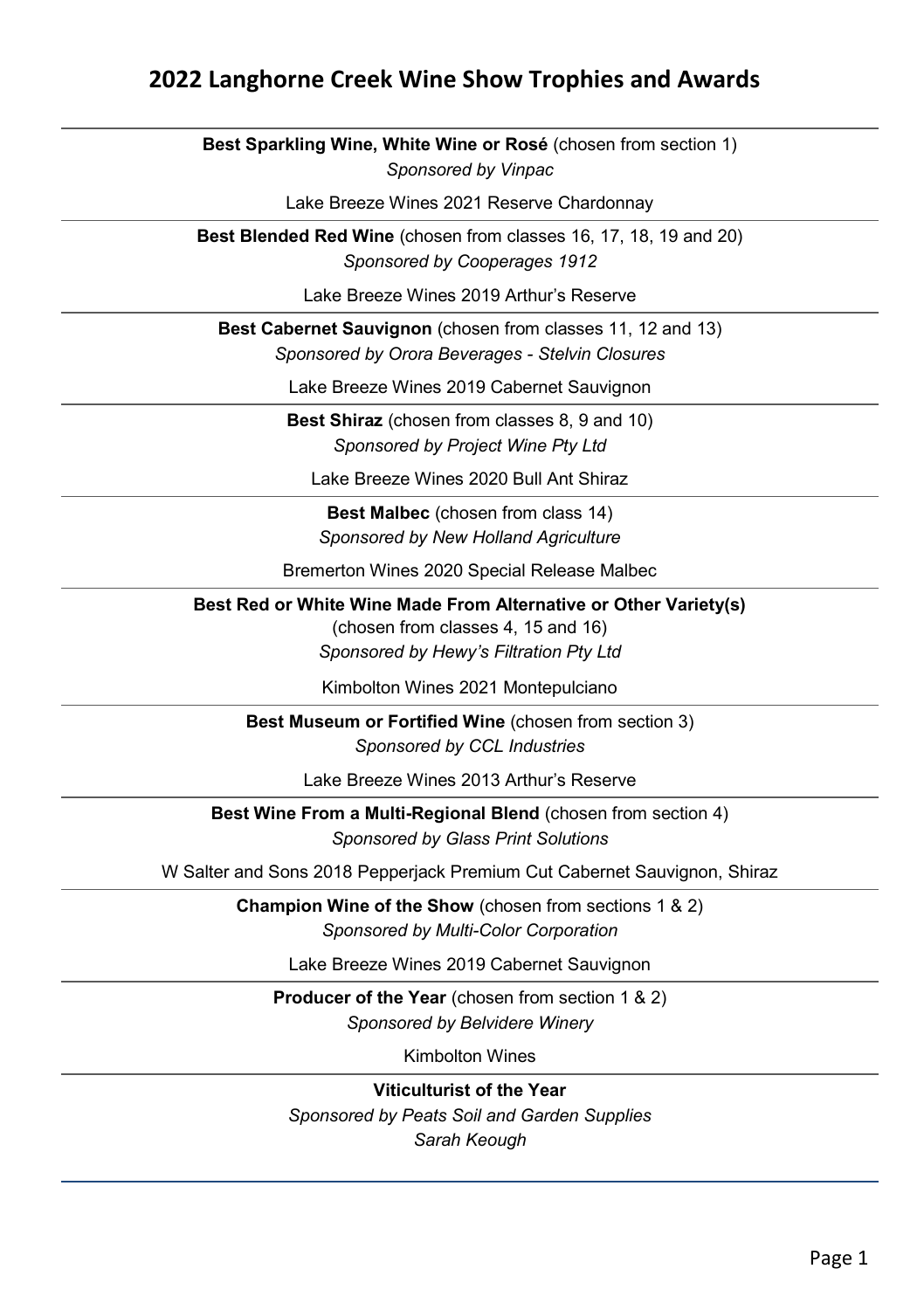#### **2022 Langhorne Creek Wine Show Trophies and Awards**

**Best Sparkling Wine, White Wine or Rosé** (chosen from section 1) *Sponsored by Vinpac*

Lake Breeze Wines 2021 Reserve Chardonnay

**Best Blended Red Wine** (chosen from classes 16, 17, 18, 19 and 20) *Sponsored by Cooperages 1912*

Lake Breeze Wines 2019 Arthur's Reserve

**Best Cabernet Sauvignon** (chosen from classes 11, 12 and 13) *Sponsored by Orora Beverages - Stelvin Closures*

Lake Breeze Wines 2019 Cabernet Sauvignon

**Best Shiraz** (chosen from classes 8, 9 and 10) *Sponsored by Project Wine Pty Ltd*

Lake Breeze Wines 2020 Bull Ant Shiraz

**Best Malbec** (chosen from class 14) *Sponsored by New Holland Agriculture* 

Bremerton Wines 2020 Special Release Malbec

**Best Red or White Wine Made From Alternative or Other Variety(s)** 

(chosen from classes 4, 15 and 16) *Sponsored by Hewy's Filtration Pty Ltd*

Kimbolton Wines 2021 Montepulciano

**Best Museum or Fortified Wine** (chosen from section 3) *Sponsored by CCL Industries*

Lake Breeze Wines 2013 Arthur's Reserve

**Best Wine From a Multi-Regional Blend** (chosen from section 4) *Sponsored by Glass Print Solutions*

W Salter and Sons 2018 Pepperjack Premium Cut Cabernet Sauvignon, Shiraz

**Champion Wine of the Show** (chosen from sections 1 & 2) *Sponsored by Multi-Color Corporation* 

Lake Breeze Wines 2019 Cabernet Sauvignon

**Producer of the Year** (chosen from section 1 & 2) *Sponsored by Belvidere Winery*

Kimbolton Wines

**Viticulturist of the Year**  *Sponsored by Peats Soil and Garden Supplies*

*Sarah Keough*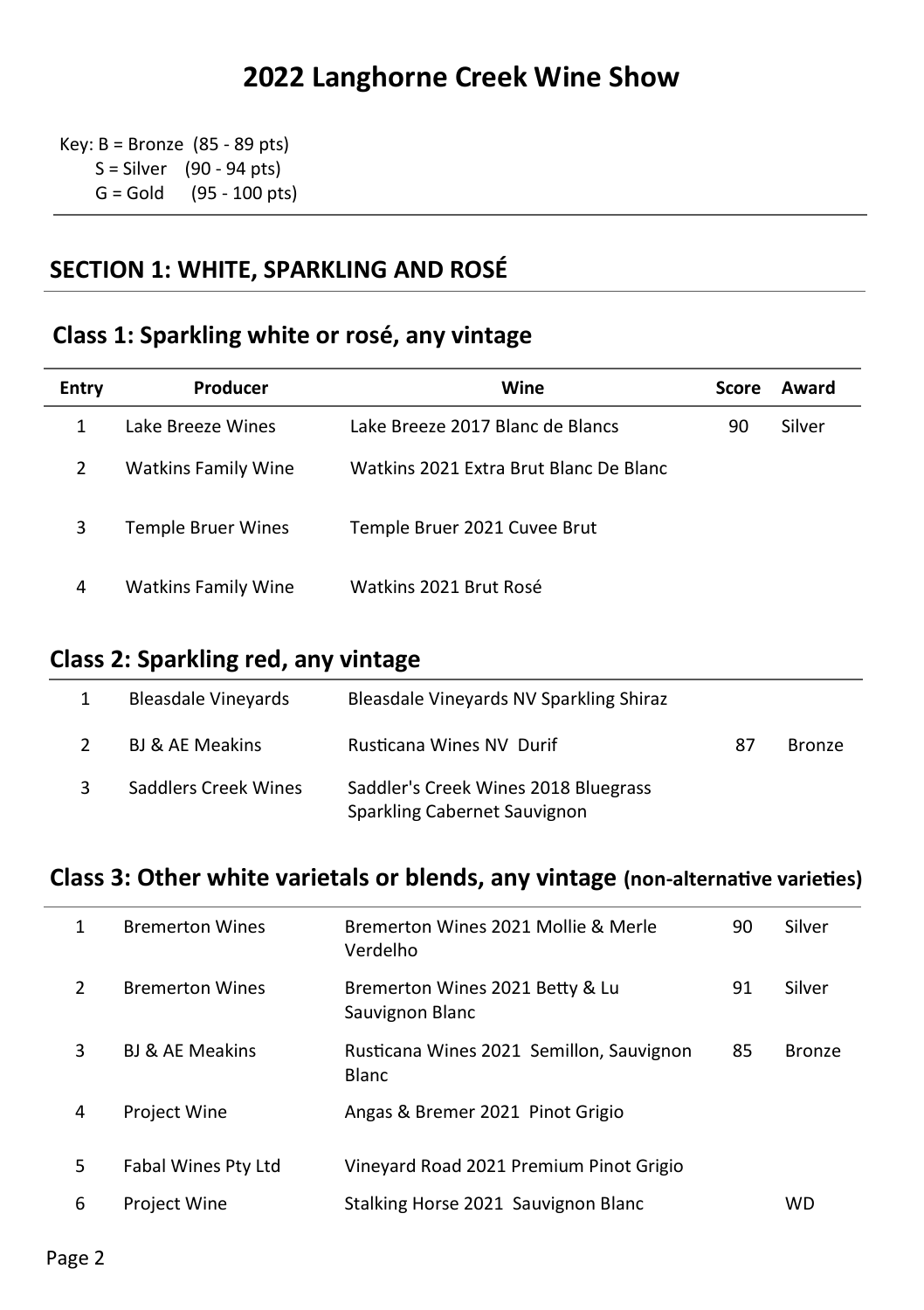Key:  $B =$  Bronze (85 - 89 pts) S = Silver (90 - 94 pts) G = Gold (95 - 100 pts)

### **SECTION 1: WHITE, SPARKLING AND ROSÉ**

### **Class 1: Sparkling white or rosé, any vintage**

| Entry | Producer                   | Wine                                   | <b>Score</b> | Award  |
|-------|----------------------------|----------------------------------------|--------------|--------|
| 1     | Lake Breeze Wines          | Lake Breeze 2017 Blanc de Blancs       | 90           | Silver |
| 2     | <b>Watkins Family Wine</b> | Watkins 2021 Extra Brut Blanc De Blanc |              |        |
| 3     | Temple Bruer Wines         | Temple Bruer 2021 Cuvee Brut           |              |        |
| 4     | <b>Watkins Family Wine</b> | Watkins 2021 Brut Rosé                 |              |        |

#### **Class 2: Sparkling red, any vintage**

| 1 | <b>Bleasdale Vinevards</b> | Bleasdale Vineyards NV Sparkling Shiraz                              |    |               |
|---|----------------------------|----------------------------------------------------------------------|----|---------------|
| 2 | BJ & AE Meakins            | Rusticana Wines NV Durif                                             | 87 | <b>Bronze</b> |
| 3 | Saddlers Creek Wines       | Saddler's Creek Wines 2018 Bluegrass<br>Sparkling Cabernet Sauvignon |    |               |

### **Class 3: Other white varietals or blends, any vintage (non-alternative varieties)**

| 1 | <b>Bremerton Wines</b>     | Bremerton Wines 2021 Mollie & Merle<br>Verdelho          | 90 | Silver        |
|---|----------------------------|----------------------------------------------------------|----|---------------|
| 2 | <b>Bremerton Wines</b>     | Bremerton Wines 2021 Betty & Lu<br>Sauvignon Blanc       | 91 | Silver        |
| 3 | <b>BJ &amp; AE Meakins</b> | Rusticana Wines 2021 Semillon, Sauvignon<br><b>Blanc</b> | 85 | <b>Bronze</b> |
| 4 | <b>Project Wine</b>        | Angas & Bremer 2021 Pinot Grigio                         |    |               |
| 5 | Fabal Wines Pty Ltd        | Vineyard Road 2021 Premium Pinot Grigio                  |    |               |
| 6 | <b>Project Wine</b>        | Stalking Horse 2021 Sauvignon Blanc                      |    | WD            |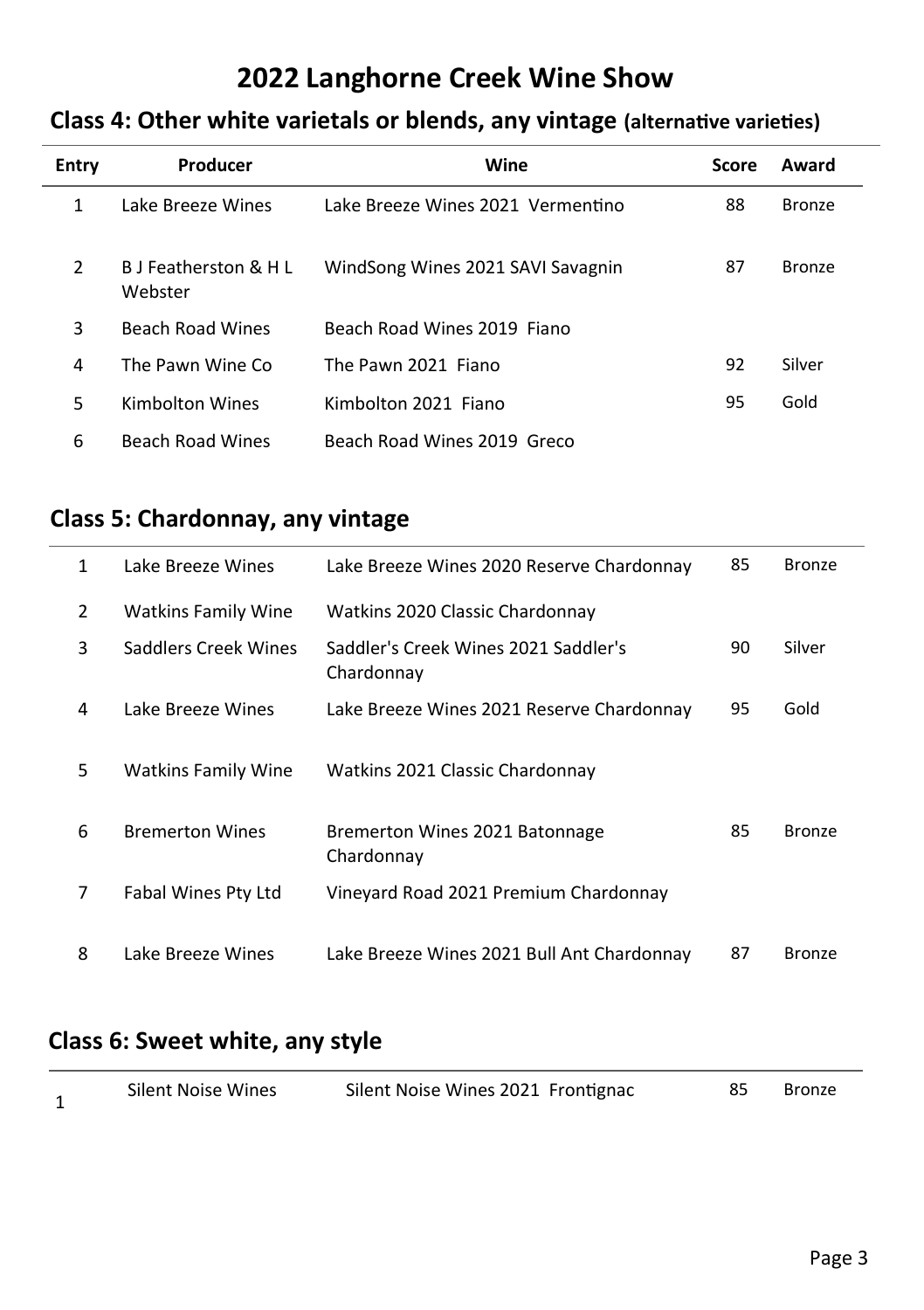# **Class 4: Other white varietals or blends, any vintage (alternative varieties)**

| Entry | Producer                         | Wine                              | Score | Award         |
|-------|----------------------------------|-----------------------------------|-------|---------------|
| 1     | Lake Breeze Wines                | Lake Breeze Wines 2021 Vermentino | 88    | Bronze        |
| 2     | B J Featherston & H L<br>Webster | WindSong Wines 2021 SAVI Savagnin | 87    | <b>Bronze</b> |
| 3     | <b>Beach Road Wines</b>          | Beach Road Wines 2019 Fiano       |       |               |
| 4     | The Pawn Wine Co                 | The Pawn 2021 Fiano               | 92    | Silver        |
| 5     | Kimbolton Wines                  | Kimbolton 2021 Fiano              | 95    | Gold          |
| 6     | <b>Beach Road Wines</b>          | Beach Road Wines 2019 Greco       |       |               |

## **Class 5: Chardonnay, any vintage**

| 1 | Lake Breeze Wines          | Lake Breeze Wines 2020 Reserve Chardonnay          | 85 | Bronze        |
|---|----------------------------|----------------------------------------------------|----|---------------|
| 2 | <b>Watkins Family Wine</b> | Watkins 2020 Classic Chardonnay                    |    |               |
| 3 | Saddlers Creek Wines       | Saddler's Creek Wines 2021 Saddler's<br>Chardonnay | 90 | Silver        |
| 4 | Lake Breeze Wines          | Lake Breeze Wines 2021 Reserve Chardonnay          | 95 | Gold          |
| 5 | <b>Watkins Family Wine</b> | Watkins 2021 Classic Chardonnay                    |    |               |
| 6 | <b>Bremerton Wines</b>     | Bremerton Wines 2021 Batonnage<br>Chardonnay       | 85 | <b>Bronze</b> |
| 7 | Fabal Wines Pty Ltd        | Vineyard Road 2021 Premium Chardonnay              |    |               |
| 8 | Lake Breeze Wines          | Lake Breeze Wines 2021 Bull Ant Chardonnay         | 87 | <b>Bronze</b> |

### **Class 6: Sweet white, any style**

|  | <b>Silent Noise Wines</b> | Silent Noise Wines 2021 Frontignac |  | Bronze |
|--|---------------------------|------------------------------------|--|--------|
|--|---------------------------|------------------------------------|--|--------|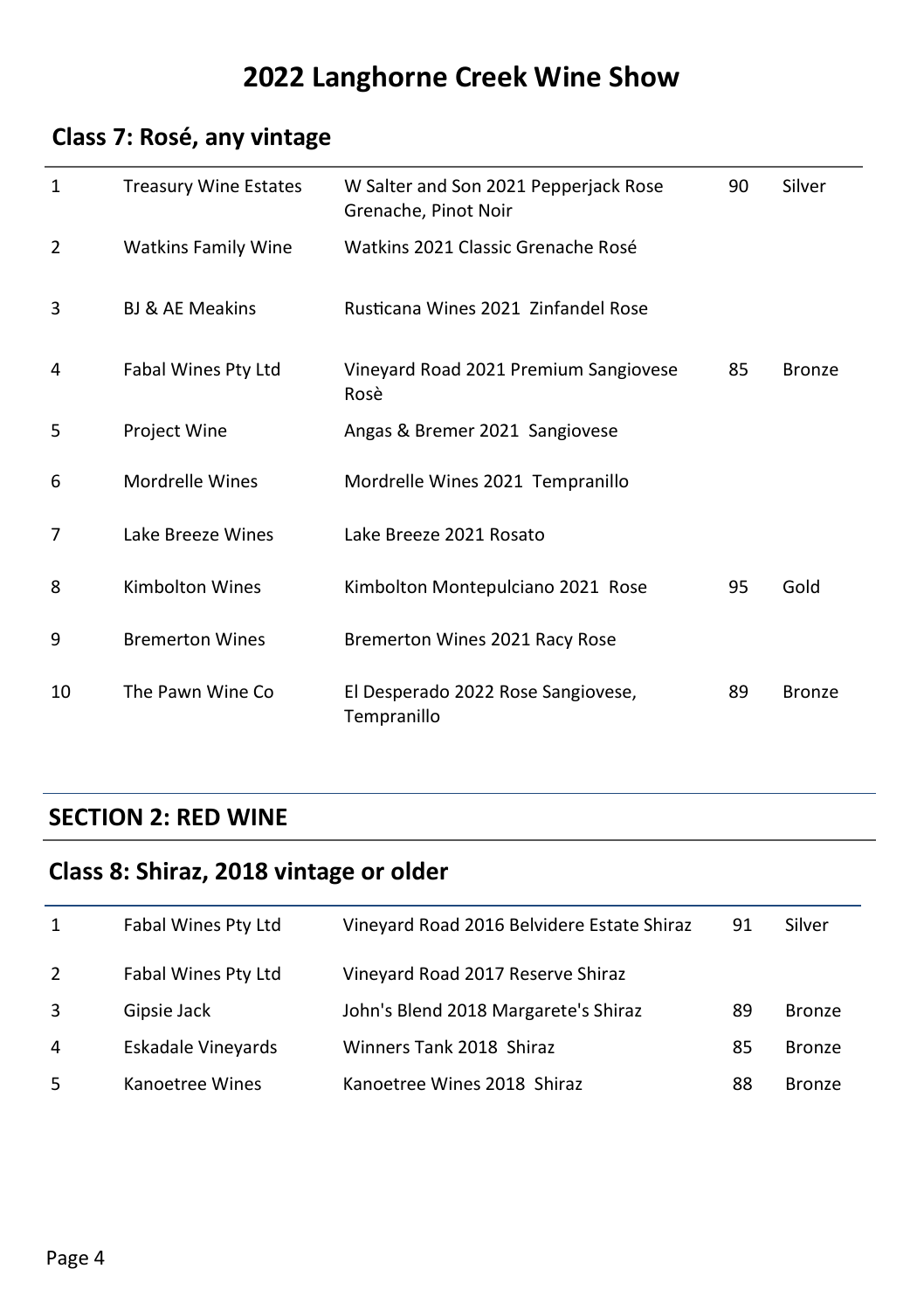# **Class 7: Rosé, any vintage**

| $\mathbf{1}$ | <b>Treasury Wine Estates</b> | W Salter and Son 2021 Pepperjack Rose<br>Grenache, Pinot Noir | 90 | Silver        |
|--------------|------------------------------|---------------------------------------------------------------|----|---------------|
| 2            | <b>Watkins Family Wine</b>   | Watkins 2021 Classic Grenache Rosé                            |    |               |
| 3            | <b>BJ &amp; AE Meakins</b>   | Rusticana Wines 2021, Zinfandel Rose                          |    |               |
| 4            | Fabal Wines Pty Ltd          | Vineyard Road 2021 Premium Sangiovese<br>Rosè                 | 85 | <b>Bronze</b> |
| 5            | Project Wine                 | Angas & Bremer 2021 Sangiovese                                |    |               |
| 6            | Mordrelle Wines              | Mordrelle Wines 2021 Tempranillo                              |    |               |
| 7            | Lake Breeze Wines            | Lake Breeze 2021 Rosato                                       |    |               |
| 8            | Kimbolton Wines              | Kimbolton Montepulciano 2021 Rose                             | 95 | Gold          |
| 9            | <b>Bremerton Wines</b>       | Bremerton Wines 2021 Racy Rose                                |    |               |
| 10           | The Pawn Wine Co             | El Desperado 2022 Rose Sangiovese,<br>Tempranillo             | 89 | <b>Bronze</b> |

#### **SECTION 2: RED WINE**

# **Class 8: Shiraz, 2018 vintage or older**

| 1 | Fabal Wines Pty Ltd | Vineyard Road 2016 Belvidere Estate Shiraz | 91 | Silver        |
|---|---------------------|--------------------------------------------|----|---------------|
| 2 | Fabal Wines Pty Ltd | Vineyard Road 2017 Reserve Shiraz          |    |               |
| 3 | Gipsie Jack         | John's Blend 2018 Margarete's Shiraz       | 89 | <b>Bronze</b> |
| 4 | Eskadale Vineyards  | Winners Tank 2018 Shiraz                   | 85 | <b>Bronze</b> |
| 5 | Kanoetree Wines     | Kanoetree Wines 2018 Shiraz                | 88 | <b>Bronze</b> |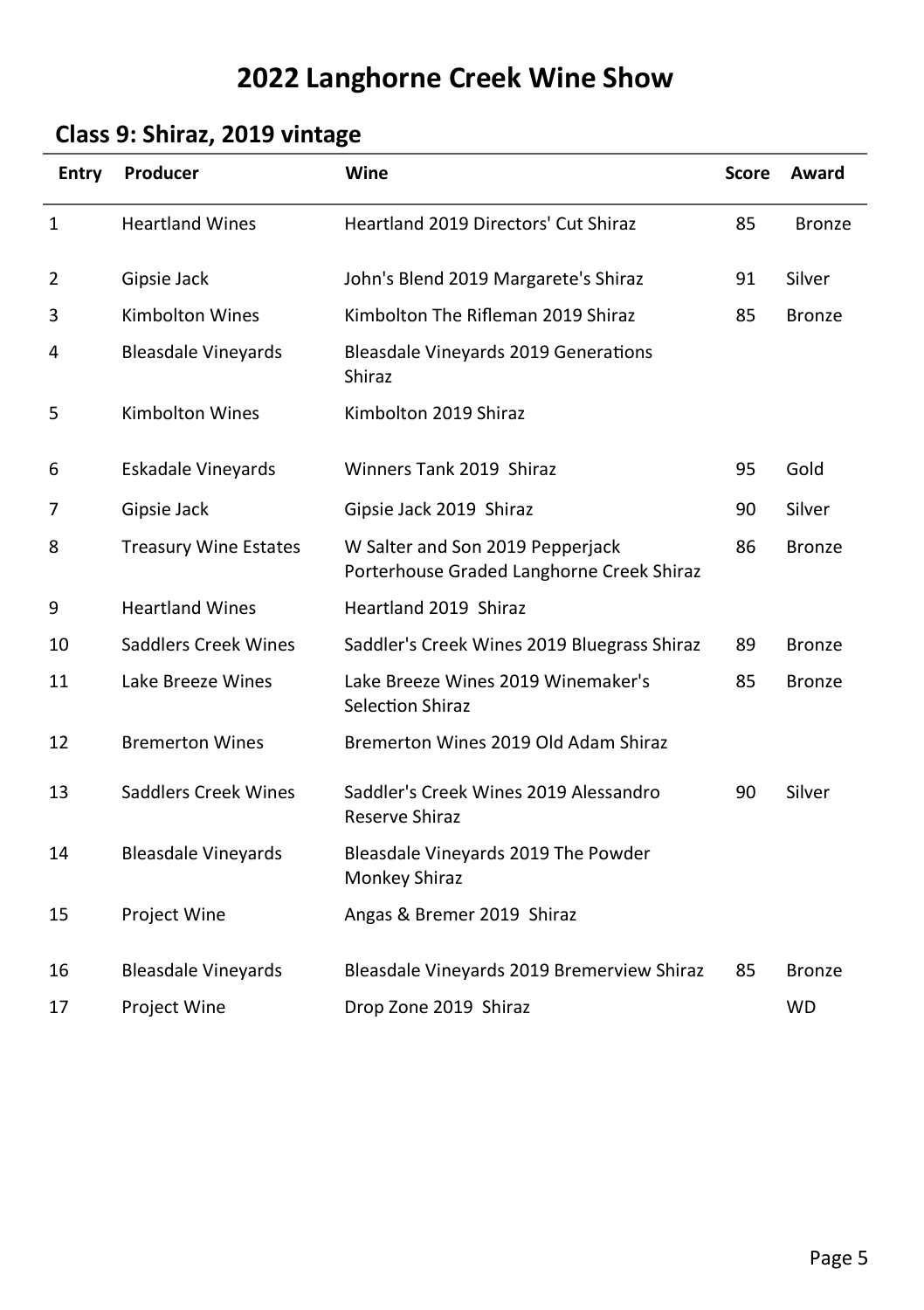# **Class 9: Shiraz, 2019 vintage**

| <b>Entry</b> | Producer                     | Wine                                                                          | Score | Award         |
|--------------|------------------------------|-------------------------------------------------------------------------------|-------|---------------|
| 1            | <b>Heartland Wines</b>       | <b>Heartland 2019 Directors' Cut Shiraz</b>                                   | 85    | <b>Bronze</b> |
| 2            | Gipsie Jack                  | John's Blend 2019 Margarete's Shiraz                                          | 91    | Silver        |
| 3            | <b>Kimbolton Wines</b>       | Kimbolton The Rifleman 2019 Shiraz                                            | 85    | <b>Bronze</b> |
| 4            | <b>Bleasdale Vineyards</b>   | <b>Bleasdale Vineyards 2019 Generations</b><br>Shiraz                         |       |               |
| 5            | <b>Kimbolton Wines</b>       | Kimbolton 2019 Shiraz                                                         |       |               |
| 6            | Eskadale Vineyards           | Winners Tank 2019 Shiraz                                                      | 95    | Gold          |
| 7            | Gipsie Jack                  | Gipsie Jack 2019 Shiraz                                                       | 90    | Silver        |
| 8            | <b>Treasury Wine Estates</b> | W Salter and Son 2019 Pepperjack<br>Porterhouse Graded Langhorne Creek Shiraz | 86    | Bronze        |
| 9            | <b>Heartland Wines</b>       | Heartland 2019 Shiraz                                                         |       |               |
| 10           | Saddlers Creek Wines         | Saddler's Creek Wines 2019 Bluegrass Shiraz                                   | 89    | Bronze        |
| 11           | Lake Breeze Wines            | Lake Breeze Wines 2019 Winemaker's<br><b>Selection Shiraz</b>                 | 85    | Bronze        |
| 12           | <b>Bremerton Wines</b>       | Bremerton Wines 2019 Old Adam Shiraz                                          |       |               |
| 13           | <b>Saddlers Creek Wines</b>  | Saddler's Creek Wines 2019 Alessandro<br><b>Reserve Shiraz</b>                | 90    | Silver        |
| 14           | <b>Bleasdale Vineyards</b>   | Bleasdale Vineyards 2019 The Powder<br>Monkey Shiraz                          |       |               |
| 15           | Project Wine                 | Angas & Bremer 2019 Shiraz                                                    |       |               |
| 16           | <b>Bleasdale Vineyards</b>   | Bleasdale Vineyards 2019 Bremerview Shiraz                                    | 85    | <b>Bronze</b> |
| 17           | Project Wine                 | Drop Zone 2019 Shiraz                                                         |       | <b>WD</b>     |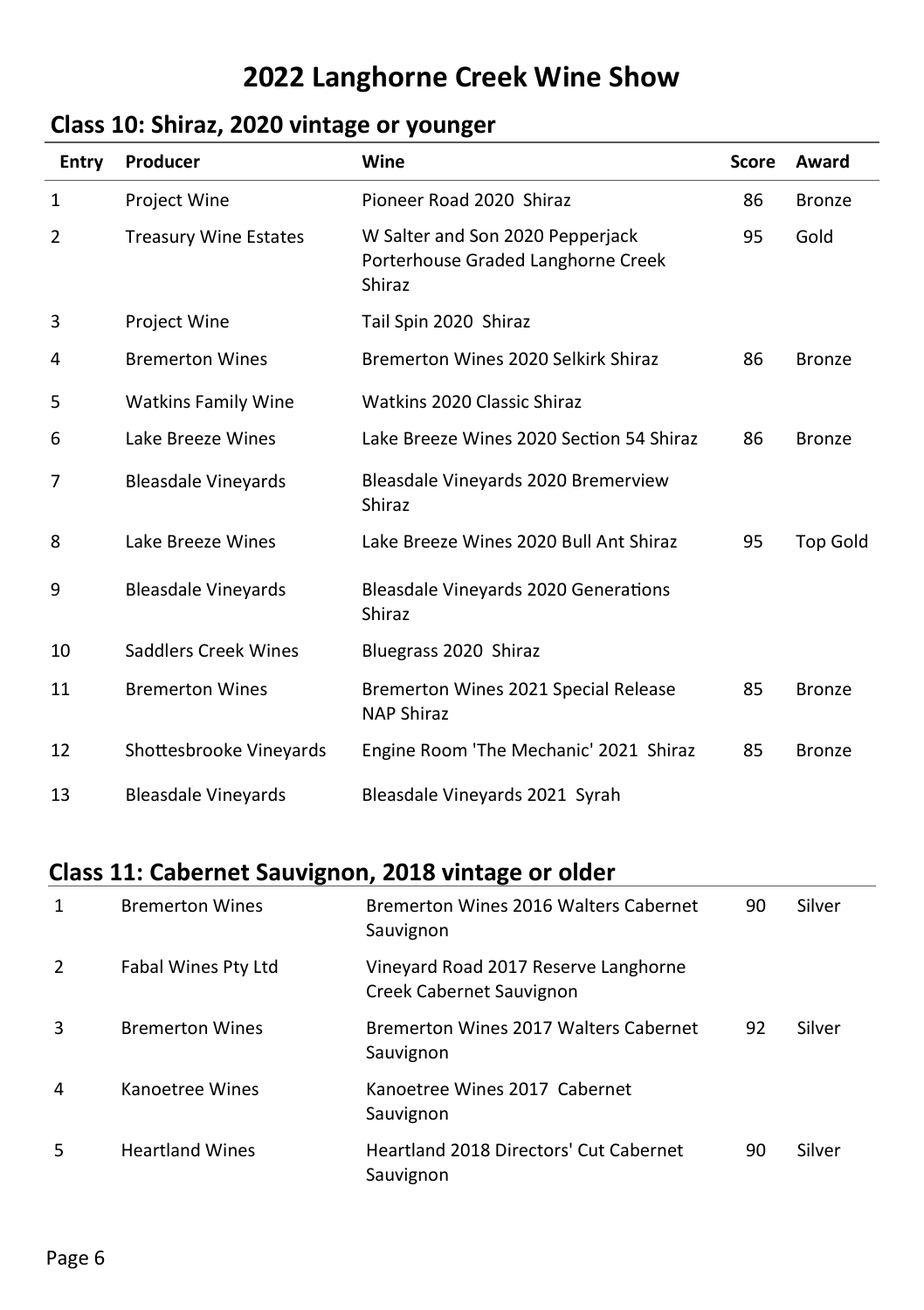# **Class 10: Shiraz, 2020 vintage or younger**

| Entry | Producer                     | Wine                                                                             | <b>Score</b> | Award           |
|-------|------------------------------|----------------------------------------------------------------------------------|--------------|-----------------|
| 1     | Project Wine                 | Pioneer Road 2020 Shiraz                                                         | 86           | <b>Bronze</b>   |
| 2     | <b>Treasury Wine Estates</b> | W Salter and Son 2020 Pepperjack<br>Porterhouse Graded Langhorne Creek<br>Shiraz | 95           | Gold            |
| 3     | <b>Project Wine</b>          | Tail Spin 2020 Shiraz                                                            |              |                 |
| 4     | <b>Bremerton Wines</b>       | Bremerton Wines 2020 Selkirk Shiraz                                              | 86           | <b>Bronze</b>   |
| 5     | <b>Watkins Family Wine</b>   | Watkins 2020 Classic Shiraz                                                      |              |                 |
| 6     | Lake Breeze Wines            | Lake Breeze Wines 2020 Section 54 Shiraz                                         | 86           | <b>Bronze</b>   |
| 7     | <b>Bleasdale Vineyards</b>   | Bleasdale Vineyards 2020 Bremerview<br>Shiraz                                    |              |                 |
| 8     | Lake Breeze Wines            | Lake Breeze Wines 2020 Bull Ant Shiraz                                           | 95           | <b>Top Gold</b> |
| 9     | <b>Bleasdale Vineyards</b>   | <b>Bleasdale Vineyards 2020 Generations</b><br>Shiraz                            |              |                 |
| 10    | Saddlers Creek Wines         | Bluegrass 2020 Shiraz                                                            |              |                 |
| 11    | <b>Bremerton Wines</b>       | Bremerton Wines 2021 Special Release<br><b>NAP Shiraz</b>                        | 85           | <b>Bronze</b>   |
| 12    | Shottesbrooke Vineyards      | Engine Room 'The Mechanic' 2021 Shiraz                                           | 85           | <b>Bronze</b>   |
| 13    | <b>Bleasdale Vineyards</b>   | Bleasdale Vineyards 2021 Syrah                                                   |              |                 |

# **Class 11: Cabernet Sauvignon, 2018 vintage or older**

| 1 | <b>Bremerton Wines</b> | Bremerton Wines 2016 Walters Cabernet<br>Sauvignon               | 90 | Silver |
|---|------------------------|------------------------------------------------------------------|----|--------|
| 2 | Fabal Wines Pty Ltd    | Vineyard Road 2017 Reserve Langhorne<br>Creek Cabernet Sauvignon |    |        |
| 3 | <b>Bremerton Wines</b> | Bremerton Wines 2017 Walters Cabernet<br>Sauvignon               | 92 | Silver |
| 4 | Kanoetree Wines        | Kanoetree Wines 2017 Cabernet<br>Sauvignon                       |    |        |
| 5 | <b>Heartland Wines</b> | <b>Heartland 2018 Directors' Cut Cabernet</b><br>Sauvignon       | 90 | Silver |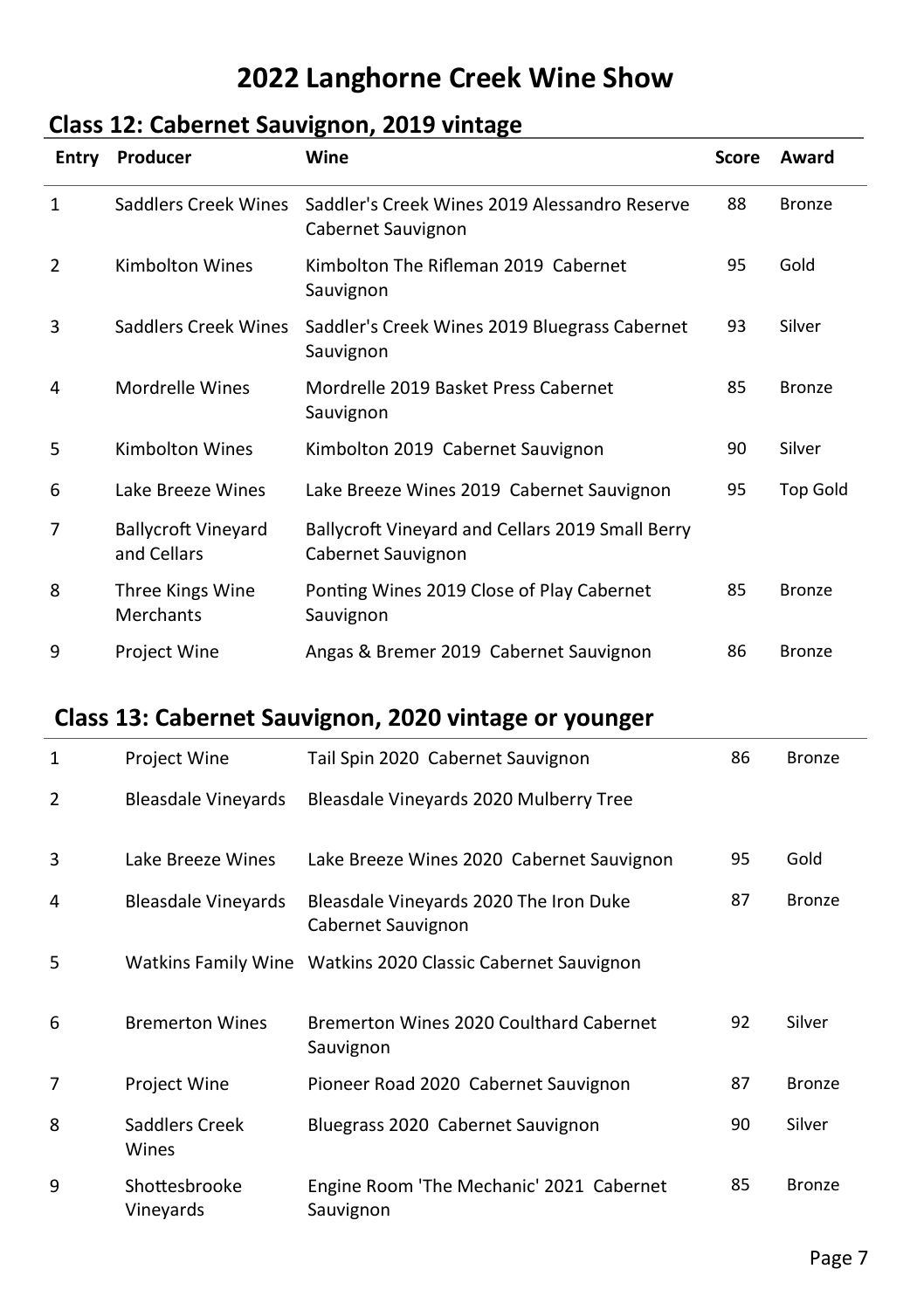# **Class 12: Cabernet Sauvignon, 2019 vintage**

| Entry        | Producer                                  | Wine                                                                   | Score | Award         |
|--------------|-------------------------------------------|------------------------------------------------------------------------|-------|---------------|
| $\mathbf{1}$ | Saddlers Creek Wines                      | Saddler's Creek Wines 2019 Alessandro Reserve<br>Cabernet Sauvignon    | 88    | <b>Bronze</b> |
| 2            | <b>Kimbolton Wines</b>                    | Kimbolton The Rifleman 2019 Cabernet<br>Sauvignon                      | 95    | Gold          |
| 3            | Saddlers Creek Wines                      | Saddler's Creek Wines 2019 Bluegrass Cabernet<br>Sauvignon             | 93    | Silver        |
| 4            | Mordrelle Wines                           | Mordrelle 2019 Basket Press Cabernet<br>Sauvignon                      | 85    | <b>Bronze</b> |
| 5            | <b>Kimbolton Wines</b>                    | Kimbolton 2019 Cabernet Sauvignon                                      | 90    | Silver        |
| 6            | Lake Breeze Wines                         | Lake Breeze Wines 2019 Cabernet Sauvignon                              | 95    | Top Gold      |
| 7            | <b>Ballycroft Vineyard</b><br>and Cellars | Ballycroft Vineyard and Cellars 2019 Small Berry<br>Cabernet Sauvignon |       |               |
| 8            | Three Kings Wine<br>Merchants             | Ponting Wines 2019 Close of Play Cabernet<br>Sauvignon                 | 85    | <b>Bronze</b> |
| 9            | Project Wine                              | Angas & Bremer 2019 Cabernet Sauvignon                                 | 86    | <b>Bronze</b> |

# **Class 13: Cabernet Sauvignon, 2020 vintage or younger**

| 1 | Project Wine               | Tail Spin 2020 Cabernet Sauvignon                            | 86 | <b>Bronze</b> |
|---|----------------------------|--------------------------------------------------------------|----|---------------|
| 2 | Bleasdale Vineyards        | Bleasdale Vineyards 2020 Mulberry Tree                       |    |               |
| 3 | Lake Breeze Wines          | Lake Breeze Wines 2020 Cabernet Sauvignon                    | 95 | Gold          |
| 4 | <b>Bleasdale Vineyards</b> | Bleasdale Vineyards 2020 The Iron Duke<br>Cabernet Sauvignon | 87 | <b>Bronze</b> |
| 5 |                            | Watkins Family Wine Watkins 2020 Classic Cabernet Sauvignon  |    |               |
| 6 | <b>Bremerton Wines</b>     | Bremerton Wines 2020 Coulthard Cabernet<br>Sauvignon         | 92 | Silver        |
| 7 | <b>Project Wine</b>        | Pioneer Road 2020 Cabernet Sauvignon                         | 87 | Bronze        |
| 8 | Saddlers Creek<br>Wines    | Bluegrass 2020 Cabernet Sauvignon                            | 90 | Silver        |
| 9 | Shottesbrooke<br>Vineyards | Engine Room 'The Mechanic' 2021 Cabernet<br>Sauvignon        | 85 | <b>Bronze</b> |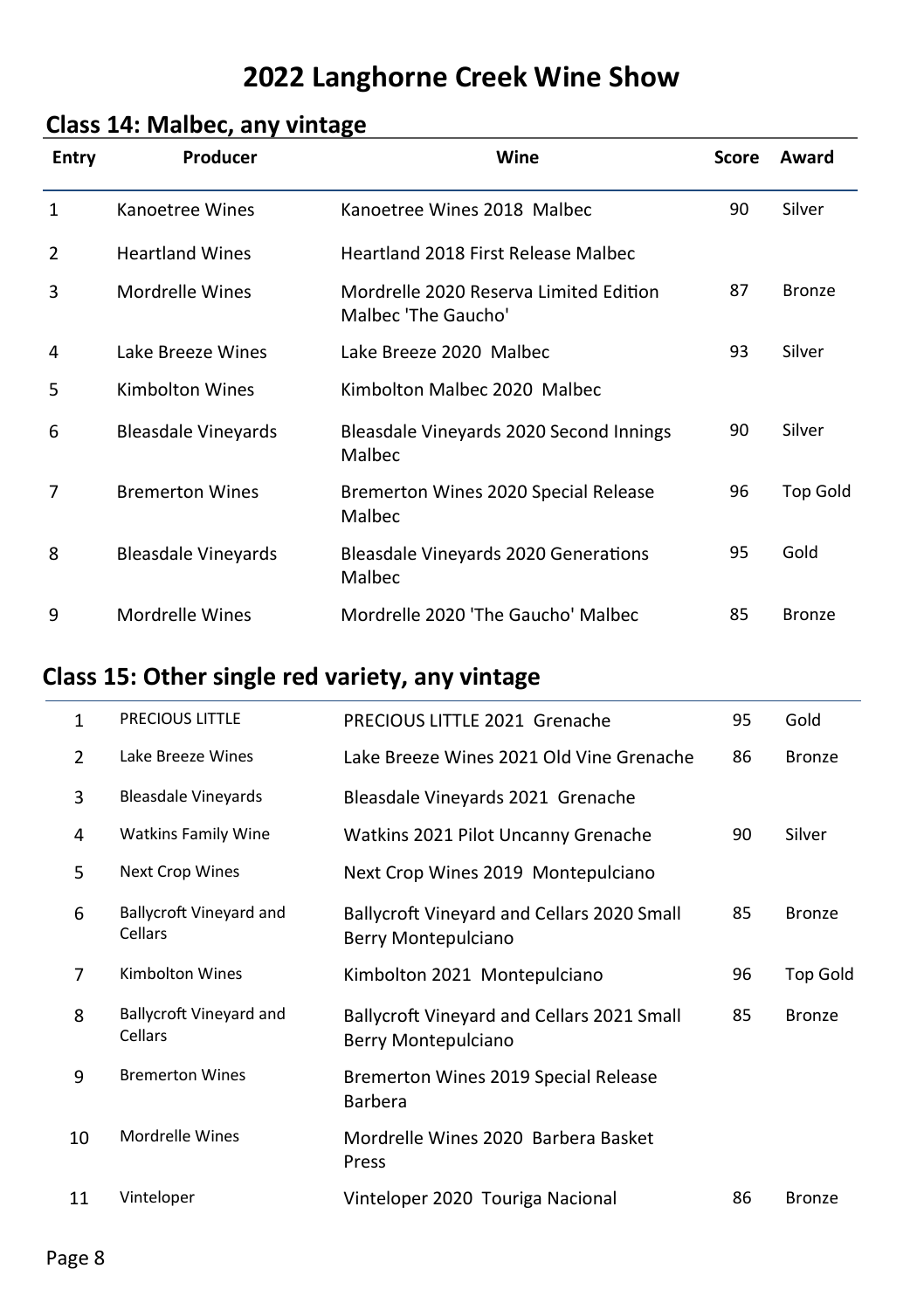# **Class 14: Malbec, any vintage**

| <b>Entry</b> | Producer                   | Wine                                                          | <b>Score</b> | Award         |
|--------------|----------------------------|---------------------------------------------------------------|--------------|---------------|
| $\mathbf{1}$ | Kanoetree Wines            | Kanoetree Wines 2018 Malbec                                   | 90           | Silver        |
| 2            | <b>Heartland Wines</b>     | <b>Heartland 2018 First Release Malbec</b>                    |              |               |
| 3            | Mordrelle Wines            | Mordrelle 2020 Reserva Limited Edition<br>Malbec 'The Gaucho' | 87           | Bronze        |
| 4            | Lake Breeze Wines          | Lake Breeze 2020 Malbec                                       | 93           | Silver        |
| 5            | Kimbolton Wines            | Kimbolton Malbec 2020 Malbec                                  |              |               |
| 6            | <b>Bleasdale Vineyards</b> | Bleasdale Vineyards 2020 Second Innings<br>Malbec             | 90           | Silver        |
| 7            | <b>Bremerton Wines</b>     | Bremerton Wines 2020 Special Release<br>Malbec                | 96           | Top Gold      |
| 8            | Bleasdale Vineyards        | Bleasdale Vineyards 2020 Generations<br>Malbec                | 95           | Gold          |
| 9            | Mordrelle Wines            | Mordrelle 2020 'The Gaucho' Malbec                            | 85           | <b>Bronze</b> |

# **Class 15: Other single red variety, any vintage**

| 1  | <b>PRECIOUS LITTLE</b>             | PRECIOUS LITTLE 2021 Grenache                                     | 95 | Gold            |
|----|------------------------------------|-------------------------------------------------------------------|----|-----------------|
| 2  | Lake Breeze Wines                  | Lake Breeze Wines 2021 Old Vine Grenache                          | 86 | <b>Bronze</b>   |
| 3  | <b>Bleasdale Vineyards</b>         | Bleasdale Vineyards 2021 Grenache                                 |    |                 |
| 4  | <b>Watkins Family Wine</b>         | Watkins 2021 Pilot Uncanny Grenache                               | 90 | Silver          |
| 5  | <b>Next Crop Wines</b>             | Next Crop Wines 2019 Montepulciano                                |    |                 |
| 6  | Ballycroft Vineyard and<br>Cellars | Ballycroft Vineyard and Cellars 2020 Small<br>Berry Montepulciano | 85 | <b>Bronze</b>   |
| 7  | <b>Kimbolton Wines</b>             | Kimbolton 2021 Montepulciano                                      | 96 | <b>Top Gold</b> |
| 8  | Ballycroft Vineyard and<br>Cellars | Ballycroft Vineyard and Cellars 2021 Small<br>Berry Montepulciano | 85 | <b>Bronze</b>   |
| 9  | <b>Bremerton Wines</b>             | Bremerton Wines 2019 Special Release<br><b>Barbera</b>            |    |                 |
| 10 | Mordrelle Wines                    | Mordrelle Wines 2020 Barbera Basket<br>Press                      |    |                 |
| 11 | Vinteloper                         | Vinteloper 2020 Touriga Nacional                                  | 86 | <b>Bronze</b>   |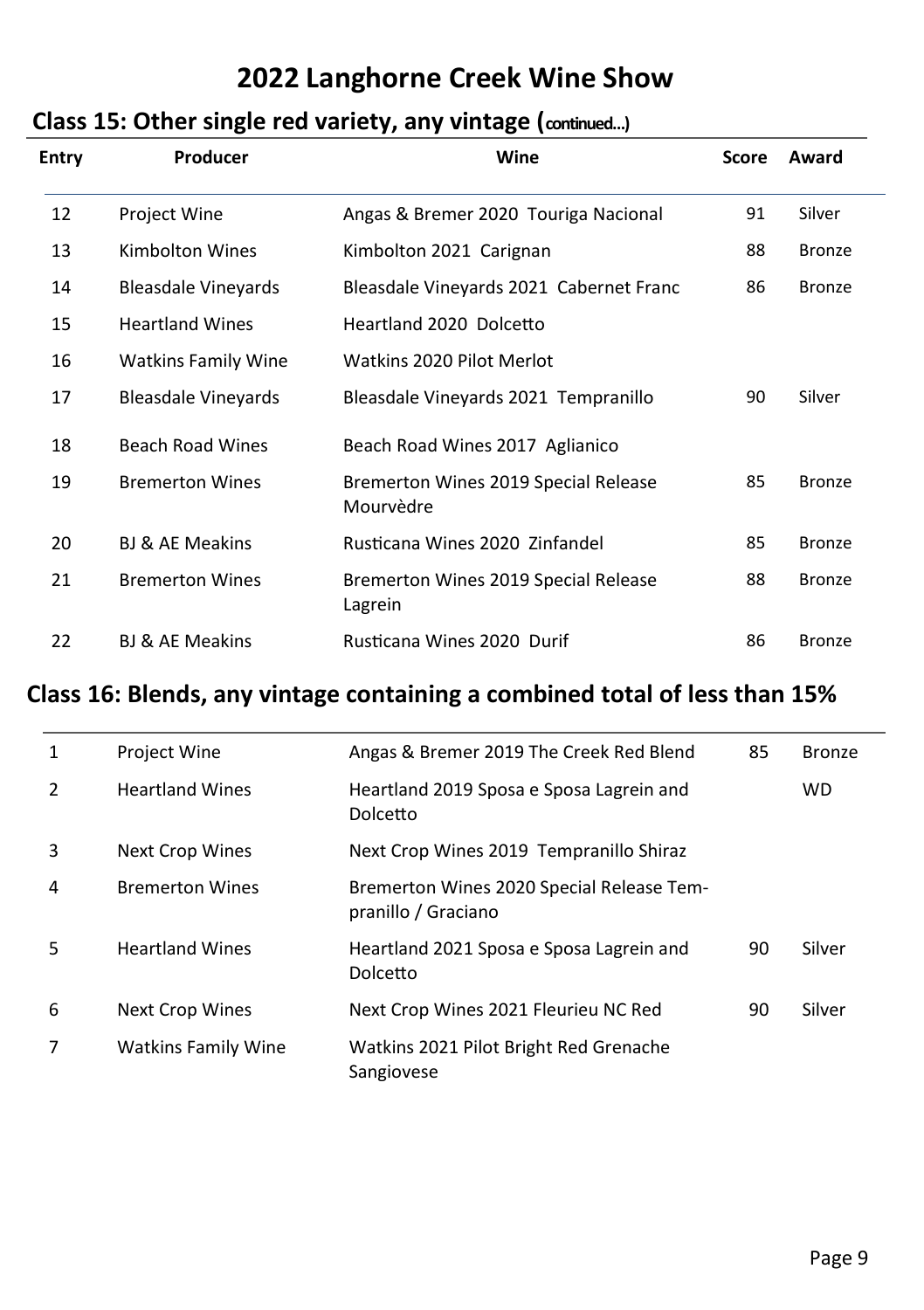# **Class 15: Other single red variety, any vintage (continued…)**

| <b>Entry</b> | Producer                   | Wine                                              | Score | Award         |
|--------------|----------------------------|---------------------------------------------------|-------|---------------|
| 12           | <b>Project Wine</b>        | Angas & Bremer 2020 Touriga Nacional              | 91    | Silver        |
| 13           | <b>Kimbolton Wines</b>     | Kimbolton 2021 Carignan                           | 88    | <b>Bronze</b> |
| 14           | <b>Bleasdale Vineyards</b> | Bleasdale Vineyards 2021 Cabernet Franc           | 86    | <b>Bronze</b> |
| 15           | <b>Heartland Wines</b>     | Heartland 2020 Dolcetto                           |       |               |
| 16           | <b>Watkins Family Wine</b> | Watkins 2020 Pilot Merlot                         |       |               |
| 17           | <b>Bleasdale Vineyards</b> | Bleasdale Vineyards 2021 Tempranillo              | 90    | Silver        |
| 18           | <b>Beach Road Wines</b>    | Beach Road Wines 2017 Aglianico                   |       |               |
| 19           | <b>Bremerton Wines</b>     | Bremerton Wines 2019 Special Release<br>Mourvèdre | 85    | Bronze        |
| 20           | <b>BJ &amp; AE Meakins</b> | Rusticana Wines 2020 Zinfandel                    | 85    | Bronze        |
| 21           | <b>Bremerton Wines</b>     | Bremerton Wines 2019 Special Release<br>Lagrein   | 88    | <b>Bronze</b> |
| 22           | <b>BJ &amp; AE Meakins</b> | Rusticana Wines 2020 Durif                        | 86    | <b>Bronze</b> |

# **Class 16: Blends, any vintage containing a combined total of less than 15%**

| 1 | <b>Project Wine</b>        | Angas & Bremer 2019 The Creek Red Blend                          | 85 | <b>Bronze</b> |
|---|----------------------------|------------------------------------------------------------------|----|---------------|
| 2 | <b>Heartland Wines</b>     | Heartland 2019 Sposa e Sposa Lagrein and<br>Dolcetto             |    | <b>WD</b>     |
| 3 | <b>Next Crop Wines</b>     | Next Crop Wines 2019 Tempranillo Shiraz                          |    |               |
| 4 | <b>Bremerton Wines</b>     | Bremerton Wines 2020 Special Release Tem-<br>pranillo / Graciano |    |               |
| 5 | <b>Heartland Wines</b>     | Heartland 2021 Sposa e Sposa Lagrein and<br>Dolcetto             | 90 | Silver        |
| 6 | Next Crop Wines            | Next Crop Wines 2021 Fleurieu NC Red                             | 90 | Silver        |
| 7 | <b>Watkins Family Wine</b> | Watkins 2021 Pilot Bright Red Grenache<br>Sangiovese             |    |               |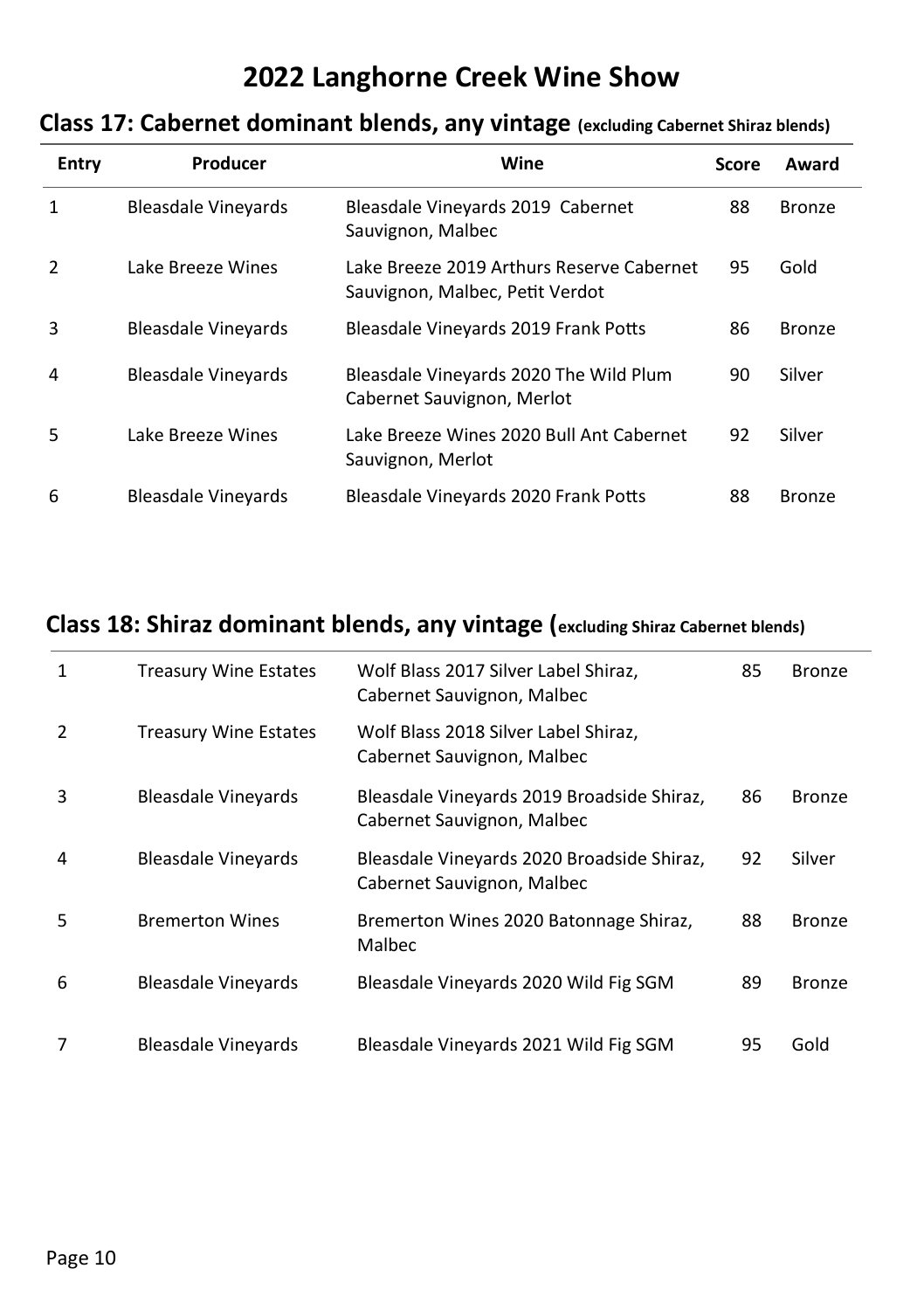### **Class 17: Cabernet dominant blends, any vintage (excluding Cabernet Shiraz blends)**

| Entry         | Producer                   | Wine                                                                         | Score | Award         |
|---------------|----------------------------|------------------------------------------------------------------------------|-------|---------------|
| $\mathbf{1}$  | <b>Bleasdale Vineyards</b> | Bleasdale Vineyards 2019 Cabernet<br>Sauvignon, Malbec                       | 88    | <b>Bronze</b> |
| $\mathcal{P}$ | Lake Breeze Wines          | Lake Breeze 2019 Arthurs Reserve Cabernet<br>Sauvignon, Malbec, Petit Verdot | 95    | Gold          |
| 3             | <b>Bleasdale Vinevards</b> | Bleasdale Vineyards 2019 Frank Potts                                         | 86    | <b>Bronze</b> |
| 4             | <b>Bleasdale Vinevards</b> | Bleasdale Vineyards 2020 The Wild Plum<br>Cabernet Sauvignon, Merlot         | 90    | Silver        |
| 5             | Lake Breeze Wines          | Lake Breeze Wines 2020 Bull Ant Cabernet<br>Sauvignon, Merlot                | 92    | Silver        |
| 6             | <b>Bleasdale Vineyards</b> | Bleasdale Vineyards 2020 Frank Potts                                         | 88    | Bronze        |

### **Class 18: Shiraz dominant blends, any vintage (excluding Shiraz Cabernet blends)**

| $\mathbf{1}$ | <b>Treasury Wine Estates</b> | Wolf Blass 2017 Silver Label Shiraz,<br>Cabernet Sauvignon, Malbec       | 85 | <b>Bronze</b> |
|--------------|------------------------------|--------------------------------------------------------------------------|----|---------------|
| 2            | <b>Treasury Wine Estates</b> | Wolf Blass 2018 Silver Label Shiraz,<br>Cabernet Sauvignon, Malbec       |    |               |
| 3            | <b>Bleasdale Vinevards</b>   | Bleasdale Vineyards 2019 Broadside Shiraz,<br>Cabernet Sauvignon, Malbec | 86 | <b>Bronze</b> |
| 4            | <b>Bleasdale Vineyards</b>   | Bleasdale Vineyards 2020 Broadside Shiraz,<br>Cabernet Sauvignon, Malbec | 92 | Silver        |
| 5            | <b>Bremerton Wines</b>       | Bremerton Wines 2020 Batonnage Shiraz,<br>Malbec                         | 88 | <b>Bronze</b> |
| 6            | <b>Bleasdale Vineyards</b>   | Bleasdale Vineyards 2020 Wild Fig SGM                                    | 89 | <b>Bronze</b> |
| 7            | <b>Bleasdale Vineyards</b>   | Bleasdale Vineyards 2021 Wild Fig SGM                                    | 95 | Gold          |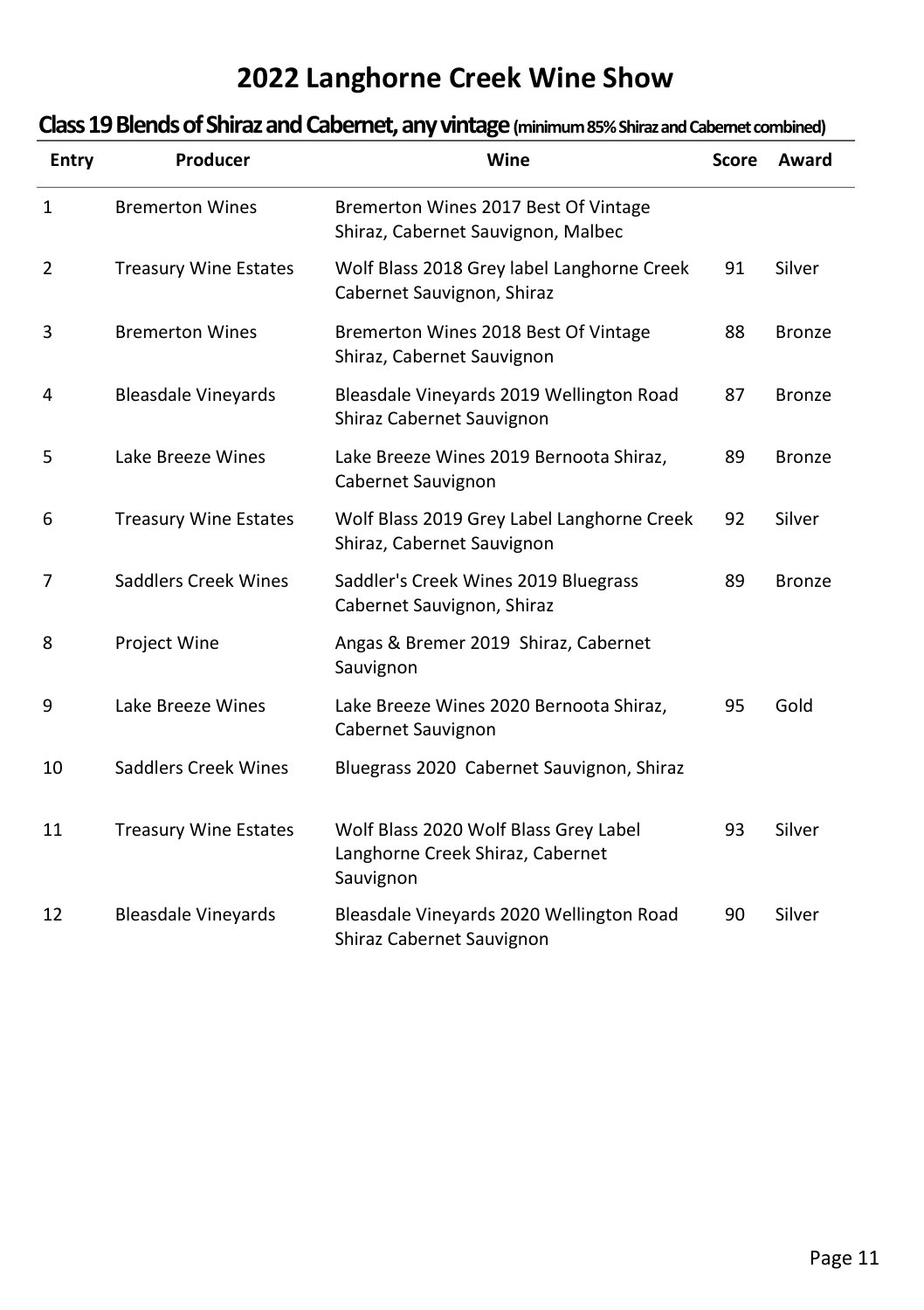### **Class 19 Blends of Shiraz and Cabernet, any vintage (minimum 85% Shiraz and Cabernet combined)**

| <b>Entry</b> | Producer                     | Wine                                                                                   | Score | Award         |
|--------------|------------------------------|----------------------------------------------------------------------------------------|-------|---------------|
| 1            | <b>Bremerton Wines</b>       | Bremerton Wines 2017 Best Of Vintage<br>Shiraz, Cabernet Sauvignon, Malbec             |       |               |
| 2            | <b>Treasury Wine Estates</b> | Wolf Blass 2018 Grey label Langhorne Creek<br>Cabernet Sauvignon, Shiraz               | 91    | Silver        |
| 3            | <b>Bremerton Wines</b>       | Bremerton Wines 2018 Best Of Vintage<br>Shiraz, Cabernet Sauvignon                     | 88    | <b>Bronze</b> |
| 4            | <b>Bleasdale Vineyards</b>   | Bleasdale Vineyards 2019 Wellington Road<br>Shiraz Cabernet Sauvignon                  | 87    | <b>Bronze</b> |
| 5            | Lake Breeze Wines            | Lake Breeze Wines 2019 Bernoota Shiraz,<br>Cabernet Sauvignon                          | 89    | <b>Bronze</b> |
| 6            | <b>Treasury Wine Estates</b> | Wolf Blass 2019 Grey Label Langhorne Creek<br>Shiraz, Cabernet Sauvignon               | 92    | Silver        |
| 7            | Saddlers Creek Wines         | Saddler's Creek Wines 2019 Bluegrass<br>Cabernet Sauvignon, Shiraz                     | 89    | <b>Bronze</b> |
| 8            | Project Wine                 | Angas & Bremer 2019 Shiraz, Cabernet<br>Sauvignon                                      |       |               |
| 9            | Lake Breeze Wines            | Lake Breeze Wines 2020 Bernoota Shiraz,<br>Cabernet Sauvignon                          | 95    | Gold          |
| 10           | <b>Saddlers Creek Wines</b>  | Bluegrass 2020 Cabernet Sauvignon, Shiraz                                              |       |               |
| 11           | <b>Treasury Wine Estates</b> | Wolf Blass 2020 Wolf Blass Grey Label<br>Langhorne Creek Shiraz, Cabernet<br>Sauvignon | 93    | Silver        |
| 12           | <b>Bleasdale Vineyards</b>   | Bleasdale Vineyards 2020 Wellington Road<br>Shiraz Cabernet Sauvignon                  | 90    | Silver        |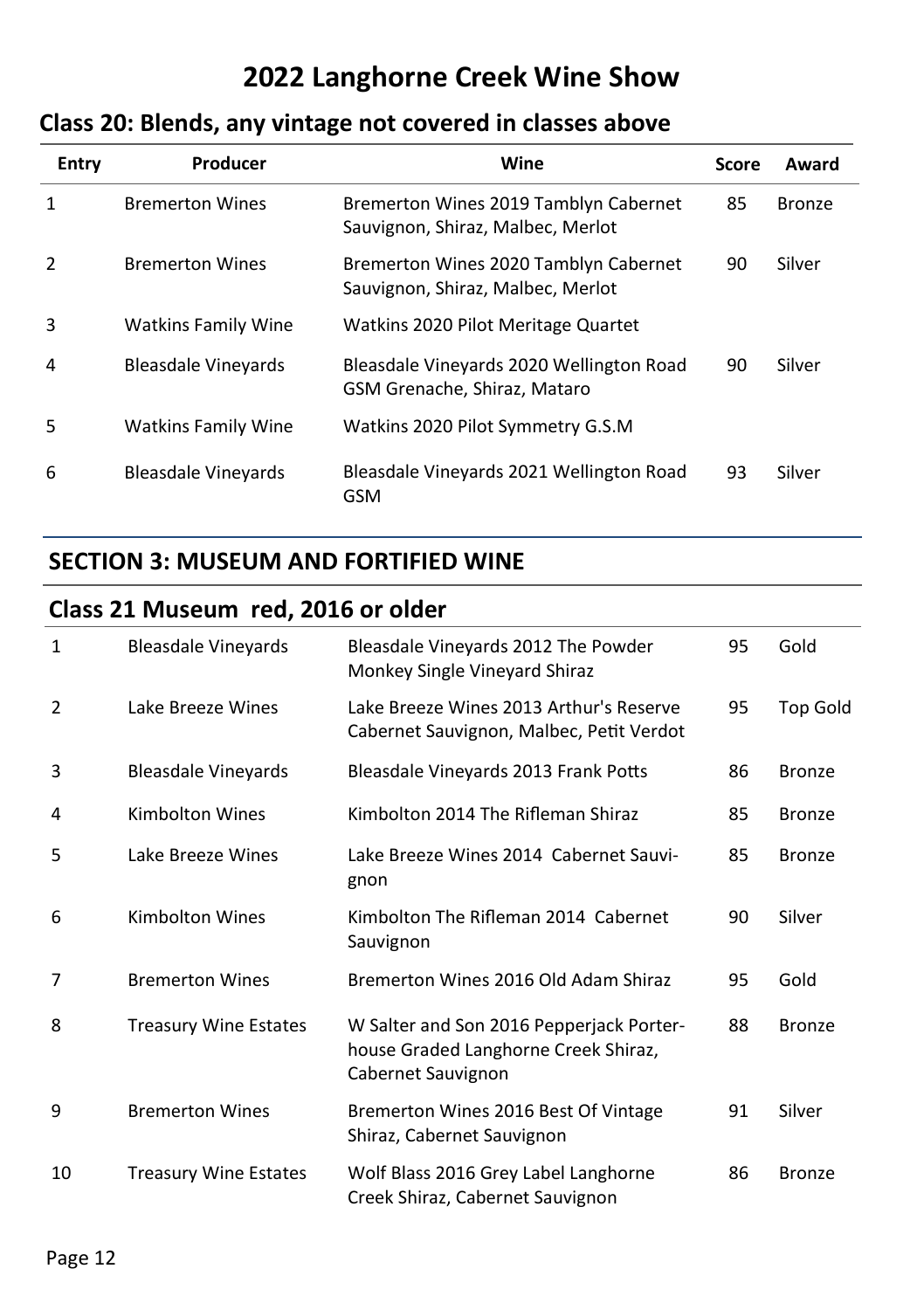# **Class 20: Blends, any vintage not covered in classes above**

| Entry        | Producer                   | Wine                                                                       | Score | Award  |
|--------------|----------------------------|----------------------------------------------------------------------------|-------|--------|
| $\mathbf{1}$ | <b>Bremerton Wines</b>     | Bremerton Wines 2019 Tamblyn Cabernet<br>Sauvignon, Shiraz, Malbec, Merlot | 85    | Bronze |
| 2            | <b>Bremerton Wines</b>     | Bremerton Wines 2020 Tamblyn Cabernet<br>Sauvignon, Shiraz, Malbec, Merlot | 90    | Silver |
| 3            | <b>Watkins Family Wine</b> | Watkins 2020 Pilot Meritage Quartet                                        |       |        |
| 4            | <b>Bleasdale Vineyards</b> | Bleasdale Vineyards 2020 Wellington Road<br>GSM Grenache, Shiraz, Mataro   | 90    | Silver |
| 5            | <b>Watkins Family Wine</b> | Watkins 2020 Pilot Symmetry G.S.M                                          |       |        |
| 6            | <b>Bleasdale Vinevards</b> | Bleasdale Vineyards 2021 Wellington Road<br><b>GSM</b>                     | 93    | Silver |

### **SECTION 3: MUSEUM AND FORTIFIED WINE**

### **Class 21 Museum red, 2016 or older**

| $\mathbf{1}$   | <b>Bleasdale Vineyards</b>   | Bleasdale Vineyards 2012 The Powder<br>Monkey Single Vineyard Shiraz                                   | 95 | Gold          |
|----------------|------------------------------|--------------------------------------------------------------------------------------------------------|----|---------------|
| $\overline{2}$ | Lake Breeze Wines            | Lake Breeze Wines 2013 Arthur's Reserve<br>Cabernet Sauvignon, Malbec, Petit Verdot                    | 95 | Top Gold      |
| 3              | <b>Bleasdale Vineyards</b>   | Bleasdale Vineyards 2013 Frank Potts                                                                   | 86 | <b>Bronze</b> |
| 4              | <b>Kimbolton Wines</b>       | Kimbolton 2014 The Rifleman Shiraz                                                                     | 85 | <b>Bronze</b> |
| 5              | Lake Breeze Wines            | Lake Breeze Wines 2014 Cabernet Sauvi-<br>gnon                                                         | 85 | <b>Bronze</b> |
| 6              | Kimbolton Wines              | Kimbolton The Rifleman 2014 Cabernet<br>Sauvignon                                                      | 90 | Silver        |
| 7              | <b>Bremerton Wines</b>       | Bremerton Wines 2016 Old Adam Shiraz                                                                   | 95 | Gold          |
| 8              | <b>Treasury Wine Estates</b> | W Salter and Son 2016 Pepperjack Porter-<br>house Graded Langhorne Creek Shiraz,<br>Cabernet Sauvignon | 88 | <b>Bronze</b> |
| 9              | <b>Bremerton Wines</b>       | Bremerton Wines 2016 Best Of Vintage<br>Shiraz, Cabernet Sauvignon                                     | 91 | Silver        |
| 10             | <b>Treasury Wine Estates</b> | Wolf Blass 2016 Grey Label Langhorne<br>Creek Shiraz, Cabernet Sauvignon                               | 86 | <b>Bronze</b> |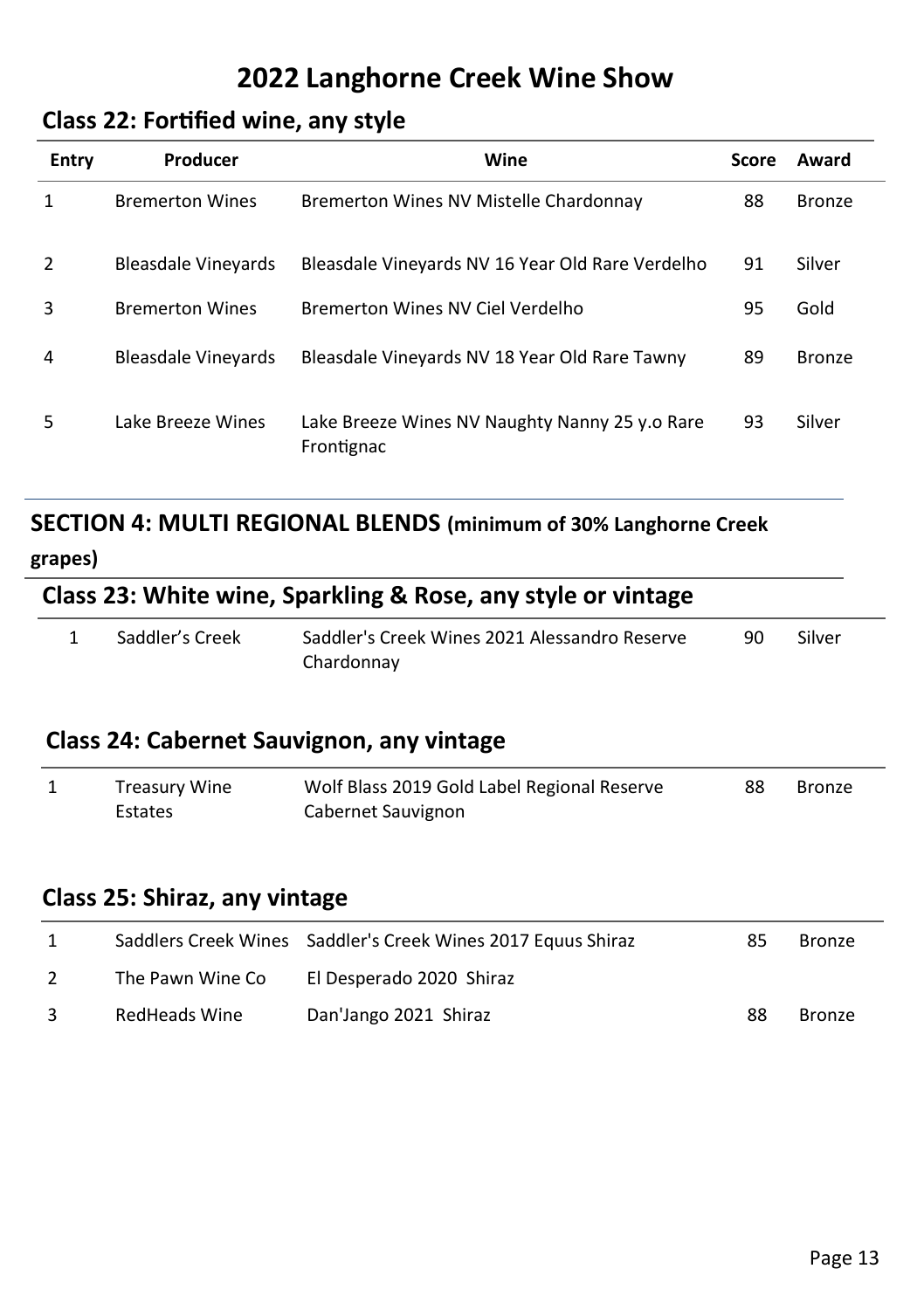#### **Class 22: Fortified wine, any style**

| <b>Entry</b>   | Producer                   | Wine                                                         | Score | Award         |
|----------------|----------------------------|--------------------------------------------------------------|-------|---------------|
| 1              | <b>Bremerton Wines</b>     | Bremerton Wines NV Mistelle Chardonnay                       | 88    | <b>Bronze</b> |
| $\overline{2}$ | <b>Bleasdale Vinevards</b> | Bleasdale Vineyards NV 16 Year Old Rare Verdelho             | 91    | Silver        |
| 3              | <b>Bremerton Wines</b>     | Bremerton Wines NV Ciel Verdelho                             | 95    | Gold          |
| 4              | <b>Bleasdale Vinevards</b> | Bleasdale Vineyards NV 18 Year Old Rare Tawny                | 89    | <b>Bronze</b> |
| 5              | Lake Breeze Wines          | Lake Breeze Wines NV Naughty Nanny 25 y.o Rare<br>Frontignac | 93    | Silver        |

# **SECTION 4: MULTI REGIONAL BLENDS (minimum of 30% Langhorne Creek**

#### **grapes)**

# **Class 23: White wine, Sparkling & Rose, any style or vintage**

| Saddler's Creek | Saddler's Creek Wines 2021 Alessandro Reserve | -90 | Silver |
|-----------------|-----------------------------------------------|-----|--------|
|                 | Chardonnay                                    |     |        |

### **Class 24: Cabernet Sauvignon, any vintage**

| Treasury Wine | Wolf Blass 2019 Gold Label Regional Reserve | 88 | <b>Bronze</b> |
|---------------|---------------------------------------------|----|---------------|
| Estates       | Cabernet Sauvignon                          |    |               |

#### **Class 25: Shiraz, any vintage**

| 1             |                  | Saddlers Creek Wines Saddler's Creek Wines 2017 Equus Shiraz | 85 | Bronze        |
|---------------|------------------|--------------------------------------------------------------|----|---------------|
| $\mathcal{L}$ | The Pawn Wine Co | El Desperado 2020 Shiraz                                     |    |               |
| 3             | RedHeads Wine    | Dan'Jango 2021 Shiraz                                        | 88 | <b>Bronze</b> |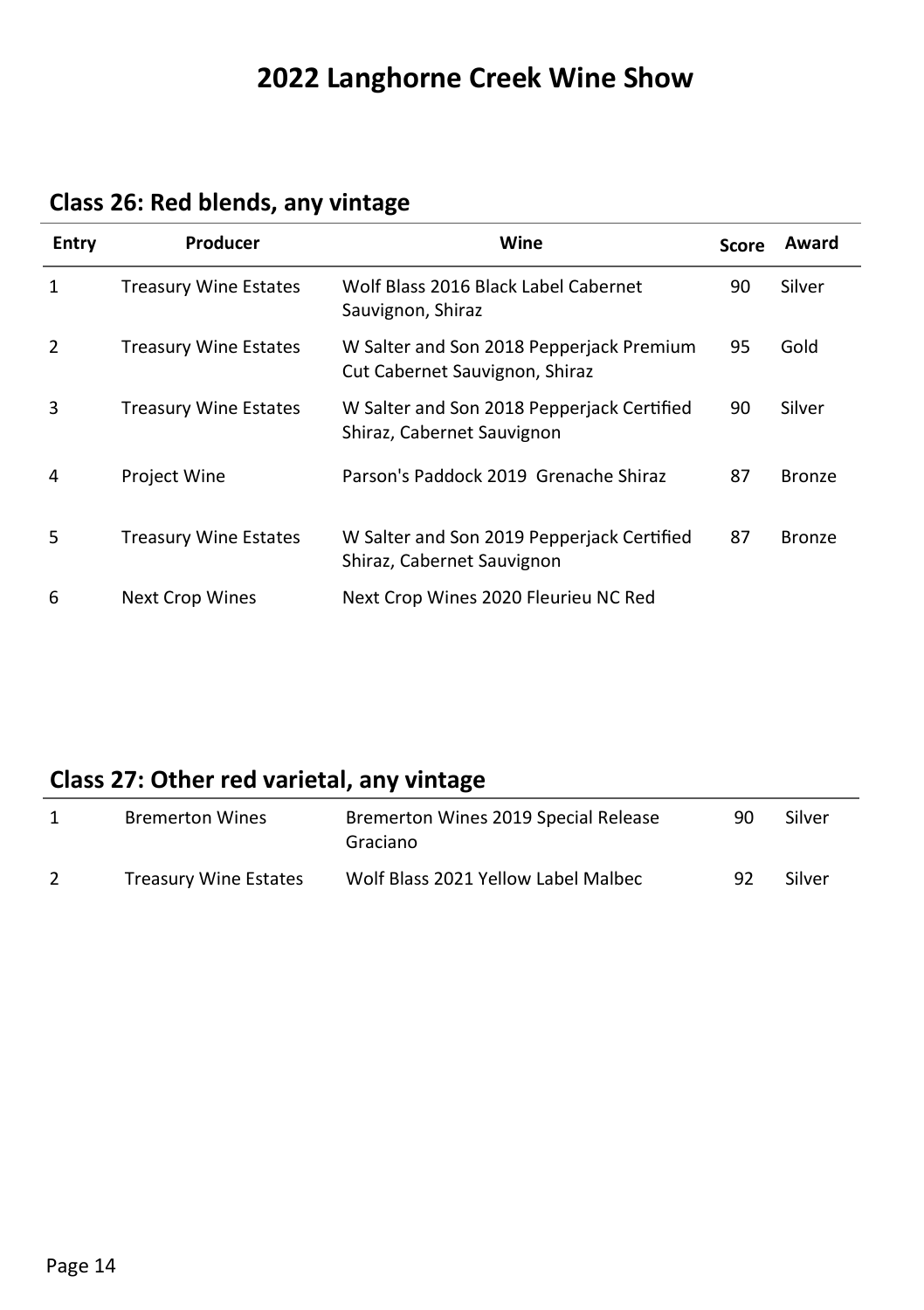| Entry        | Producer                     | Wine                                                                       | Score | Award         |
|--------------|------------------------------|----------------------------------------------------------------------------|-------|---------------|
| $\mathbf{1}$ | <b>Treasury Wine Estates</b> | Wolf Blass 2016 Black Label Cabernet<br>Sauvignon, Shiraz                  | 90    | Silver        |
| 2            | <b>Treasury Wine Estates</b> | W Salter and Son 2018 Pepperjack Premium<br>Cut Cabernet Sauvignon, Shiraz | 95    | Gold          |
| 3            | <b>Treasury Wine Estates</b> | W Salter and Son 2018 Pepperjack Certified<br>Shiraz, Cabernet Sauvignon   | 90    | Silver        |
| 4            | <b>Project Wine</b>          | Parson's Paddock 2019 Grenache Shiraz                                      | 87    | <b>Bronze</b> |
| 5            | <b>Treasury Wine Estates</b> | W Salter and Son 2019 Pepperjack Certified<br>Shiraz, Cabernet Sauvignon   | 87    | Bronze        |
| 6            | <b>Next Crop Wines</b>       | Next Crop Wines 2020 Fleurieu NC Red                                       |       |               |

# **Class 26: Red blends, any vintage**

# **Class 27: Other red varietal, any vintage**

| <b>Bremerton Wines</b>       | Bremerton Wines 2019 Special Release<br>Graciano | 90 | Silver |
|------------------------------|--------------------------------------------------|----|--------|
| <b>Treasury Wine Estates</b> | Wolf Blass 2021 Yellow Label Malbec              | 92 | Silver |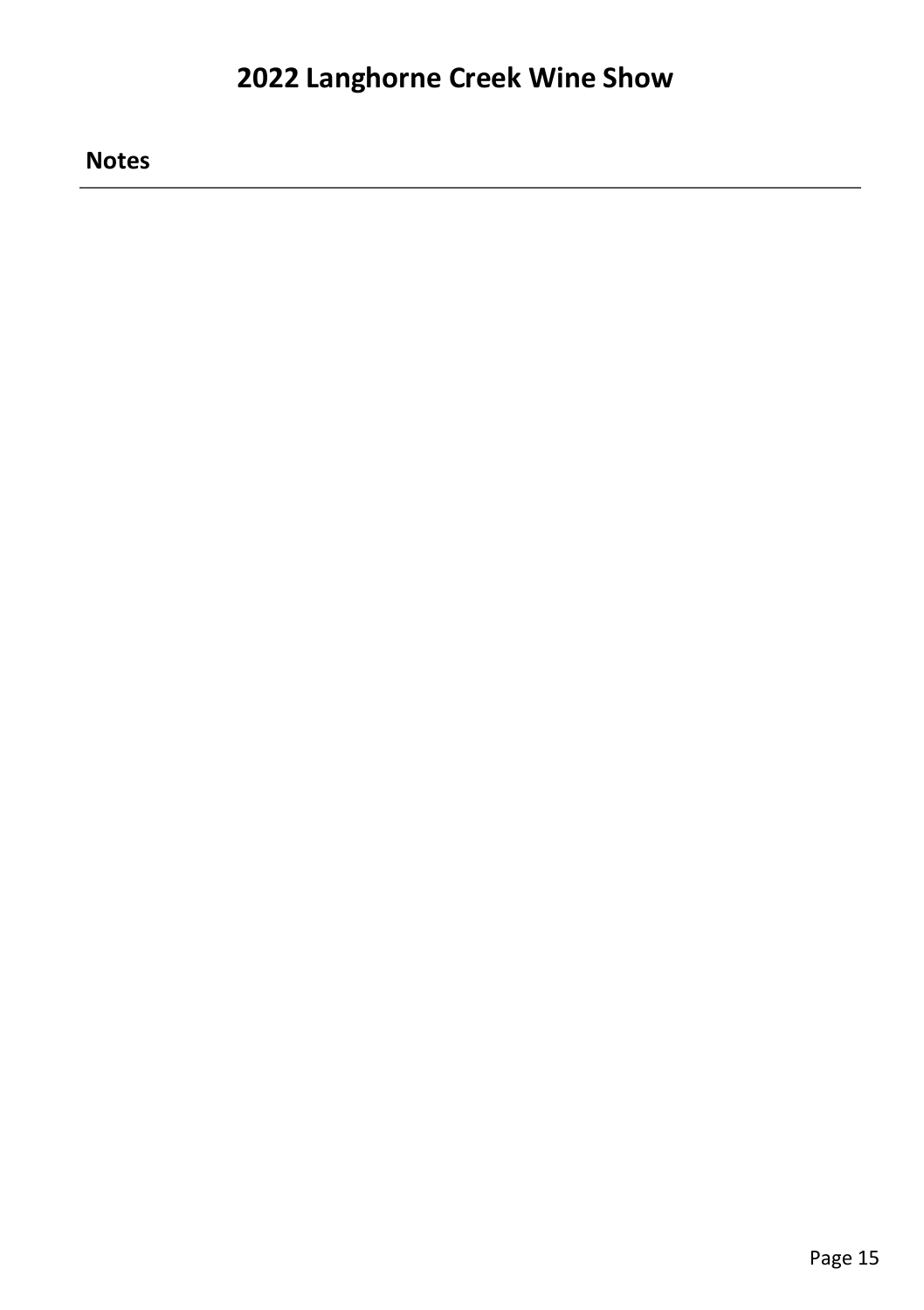**Notes**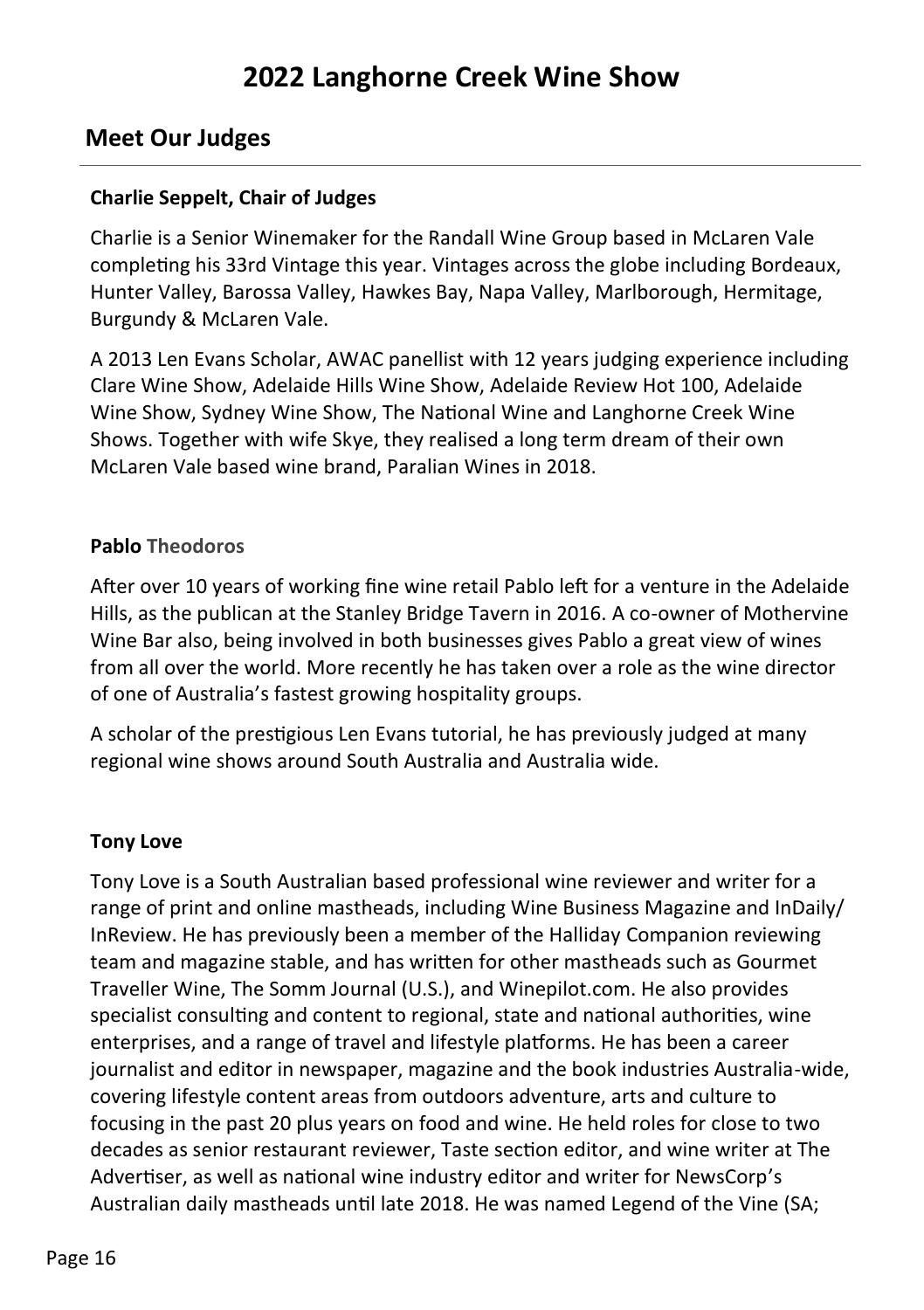#### **Meet Our Judges**

#### **Charlie Seppelt, Chair of Judges**

Charlie is a Senior Winemaker for the Randall Wine Group based in McLaren Vale completing his 33rd Vintage this year. Vintages across the globe including Bordeaux, Hunter Valley, Barossa Valley, Hawkes Bay, Napa Valley, Marlborough, Hermitage, Burgundy & McLaren Vale.

A 2013 Len Evans Scholar, AWAC panellist with 12 years judging experience including Clare Wine Show, Adelaide Hills Wine Show, Adelaide Review Hot 100, Adelaide Wine Show, Sydney Wine Show, The National Wine and Langhorne Creek Wine Shows. Together with wife Skye, they realised a long term dream of their own McLaren Vale based wine brand, Paralian Wines in 2018.

#### **Pablo Theodoros**

After over 10 years of working fine wine retail Pablo left for a venture in the Adelaide Hills, as the publican at the Stanley Bridge Tavern in 2016. A co-owner of Mothervine Wine Bar also, being involved in both businesses gives Pablo a great view of wines from all over the world. More recently he has taken over a role as the wine director of one of Australia's fastest growing hospitality groups.

A scholar of the prestigious Len Evans tutorial, he has previously judged at many regional wine shows around South Australia and Australia wide.

#### **Tony Love**

Tony Love is a South Australian based professional wine reviewer and writer for a range of print and online mastheads, including Wine Business Magazine and InDaily/ InReview. He has previously been a member of the Halliday Companion reviewing team and magazine stable, and has written for other mastheads such as Gourmet Traveller Wine, The Somm Journal (U.S.), and Winepilot.com. He also provides specialist consulting and content to regional, state and national authorities, wine enterprises, and a range of travel and lifestyle platforms. He has been a career journalist and editor in newspaper, magazine and the book industries Australia-wide, covering lifestyle content areas from outdoors adventure, arts and culture to focusing in the past 20 plus years on food and wine. He held roles for close to two decades as senior restaurant reviewer, Taste section editor, and wine writer at The Advertiser, as well as national wine industry editor and writer for NewsCorp's Australian daily mastheads until late 2018. He was named Legend of the Vine (SA;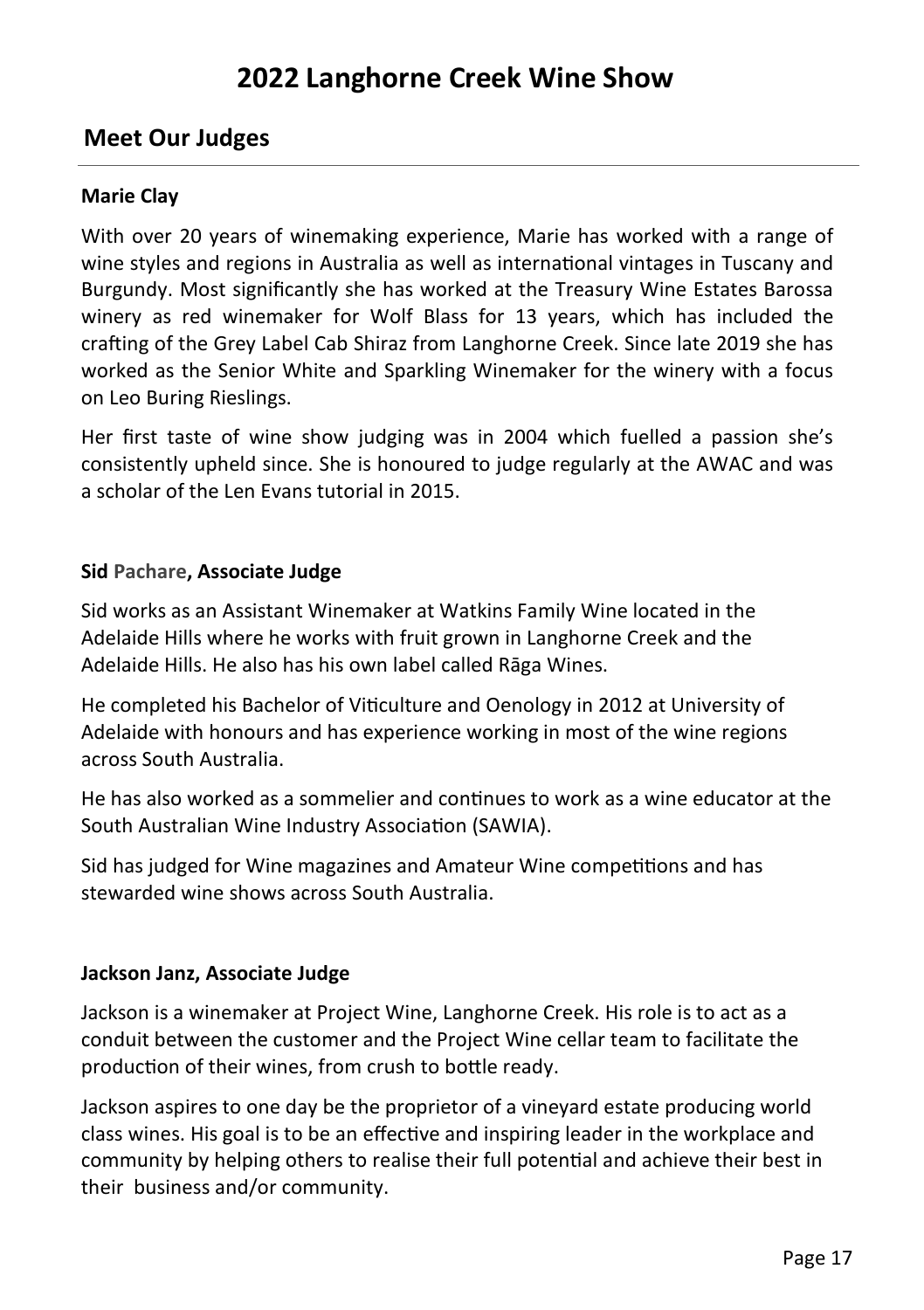#### **Meet Our Judges**

#### **Marie Clay**

With over 20 years of winemaking experience, Marie has worked with a range of wine styles and regions in Australia as well as international vintages in Tuscany and Burgundy. Most significantly she has worked at the Treasury Wine Estates Barossa winery as red winemaker for Wolf Blass for 13 years, which has included the crafting of the Grey Label Cab Shiraz from Langhorne Creek. Since late 2019 she has worked as the Senior White and Sparkling Winemaker for the winery with a focus on Leo Buring Rieslings.

Her first taste of wine show judging was in 2004 which fuelled a passion she's consistently upheld since. She is honoured to judge regularly at the AWAC and was a scholar of the Len Evans tutorial in 2015.

#### **Sid Pachare, Associate Judge**

Sid works as an Assistant Winemaker at Watkins Family Wine located in the Adelaide Hills where he works with fruit grown in Langhorne Creek and the Adelaide Hills. He also has his own label called Rāga Wines.

He completed his Bachelor of Viticulture and Oenology in 2012 at University of Adelaide with honours and has experience working in most of the wine regions across South Australia.

He has also worked as a sommelier and continues to work as a wine educator at the South Australian Wine Industry Association (SAWIA).

Sid has judged for Wine magazines and Amateur Wine competitions and has stewarded wine shows across South Australia.

#### **Jackson Janz, Associate Judge**

Jackson is a winemaker at Project Wine, Langhorne Creek. His role is to act as a conduit between the customer and the Project Wine cellar team to facilitate the production of their wines, from crush to bottle ready.

Jackson aspires to one day be the proprietor of a vineyard estate producing world class wines. His goal is to be an effective and inspiring leader in the workplace and community by helping others to realise their full potential and achieve their best in their business and/or community.